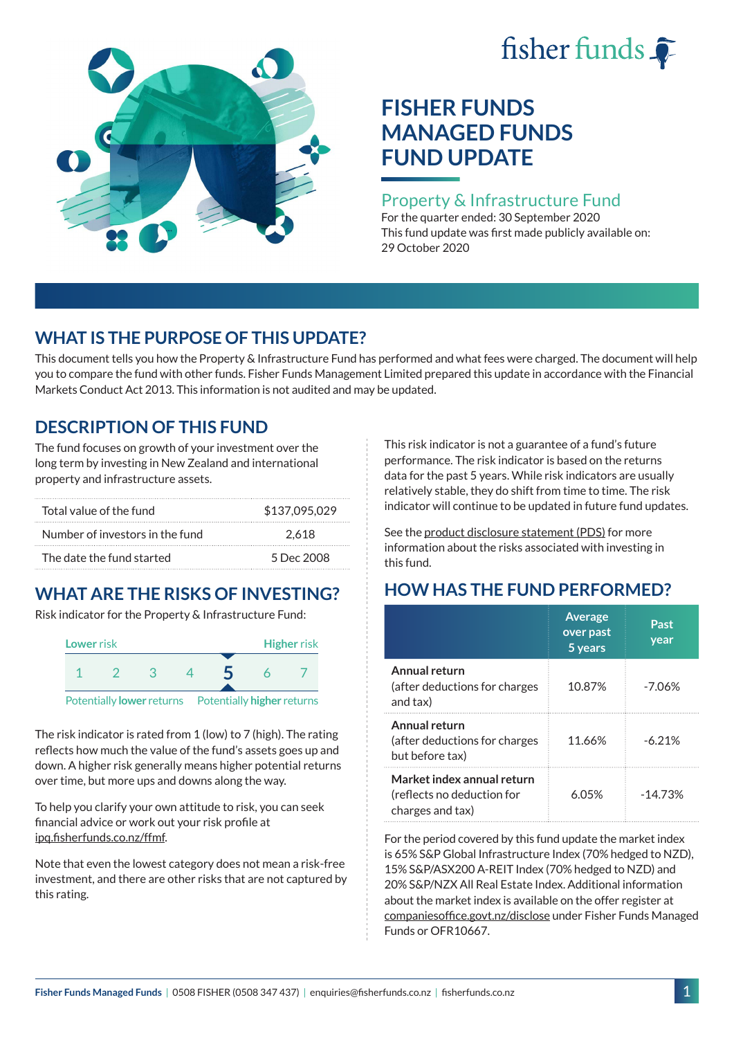# fisher funds  $\hat{\bullet}$



# **FISHER FUNDS MANAGED FUNDS FUND UPDATE**

### Property & Infrastructure Fund

For the quarter ended: 30 September 2020 This fund update was first made publicly available on: 29 October 2020

## **WHAT IS THE PURPOSE OF THIS UPDATE?**

This document tells you how the Property & Infrastructure Fund has performed and what fees were charged. The document will help you to compare the fund with other funds. Fisher Funds Management Limited prepared this update in accordance with the Financial Markets Conduct Act 2013. This information is not audited and may be updated.

## **DESCRIPTION OF THIS FUND**

The fund focuses on growth of your investment over the long term by investing in New Zealand and international property and infrastructure assets.

| Total value of the fund         | \$137,095,029 |
|---------------------------------|---------------|
| Number of investors in the fund | 2.618         |
| The date the fund started       | 5 Dec 2008    |

# **WHAT ARE THE RISKS OF INVESTING?**

Risk indicator for the Property & Infrastructure Fund:



The risk indicator is rated from 1 (low) to 7 (high). The rating reflects how much the value of the fund's assets goes up and down. A higher risk generally means higher potential returns over time, but more ups and downs along the way.

To help you clarify your own attitude to risk, you can seek financial advice or work out your risk profile at [ipq.fisherfunds.co.nz/ffmf](https://ipq.fisherfunds.co.nz/ffmf).

Note that even the lowest category does not mean a risk-free investment, and there are other risks that are not captured by this rating.

This risk indicator is not a guarantee of a fund's future performance. The risk indicator is based on the returns data for the past 5 years. While risk indicators are usually relatively stable, they do shift from time to time. The risk indicator will continue to be updated in future fund updates.

See the [product disclosure statement \(PDS\)](https://fisherfunds.co.nz/assets/PDS/Fisher-Funds-Managed-Funds-PDS.pdf) for more information about the risks associated with investing in this fund.

# **HOW HAS THE FUND PERFORMED?**

|                                                                              | <b>Average</b><br>over past<br>5 years | Past<br>year |
|------------------------------------------------------------------------------|----------------------------------------|--------------|
| Annual return<br>(after deductions for charges<br>and tax)                   | 10.87%                                 | $-7.06%$     |
| Annual return<br>(after deductions for charges<br>but before tax)            | 11.66%                                 | $-6.21%$     |
| Market index annual return<br>(reflects no deduction for<br>charges and tax) | 6.05%                                  | $-14.73%$    |

For the period covered by this fund update the market index is 65% S&P Global Infrastructure Index (70% hedged to NZD), 15% S&P/ASX200 A-REIT Index (70% hedged to NZD) and 20% S&P/NZX All Real Estate Index. Additional information about the market index is available on the offer register at [companiesoffice.govt.nz/disclose](http://companiesoffice.govt.nz/disclose) under Fisher Funds Managed Funds or OFR10667.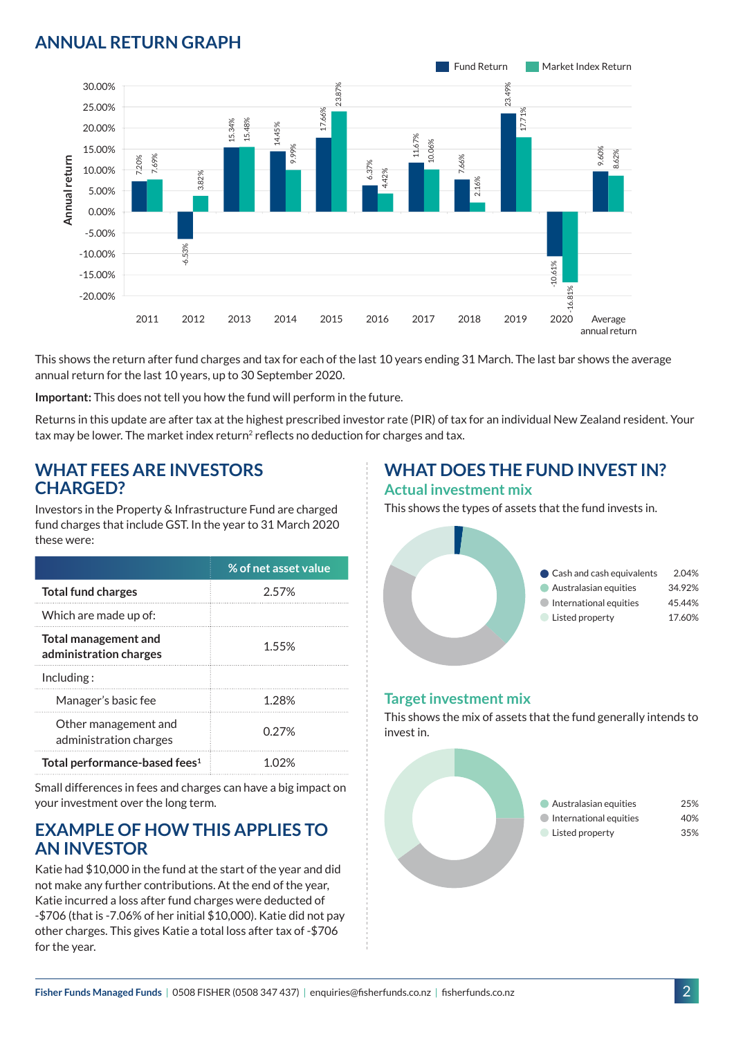## **ANNUAL RETURN GRAPH**



This shows the return after fund charges and tax for each of the last 10 years ending 31 March. The last bar shows the average annual return for the last 10 years, up to 30 September 2020.

**Important:** This does not tell you how the fund will perform in the future.

Returns in this update are after tax at the highest prescribed investor rate (PIR) of tax for an individual New Zealand resident. Your tax may be lower. The market index return<sup>2</sup> reflects no deduction for charges and tax.

#### **WHAT FEES ARE INVESTORS CHARGED?**

Investors in the Property & Infrastructure Fund are charged fund charges that include GST. In the year to 31 March 2020 these were:

|                                                | % of net asset value |
|------------------------------------------------|----------------------|
| <b>Total fund charges</b>                      | 2.57%                |
| Which are made up of:                          |                      |
| Total management and<br>administration charges | 1.55%                |
| Inding:                                        |                      |
| Manager's basic fee                            | 1 28%                |
| Other management and<br>administration charges | 0.27%                |
| Total performance-based fees <sup>1</sup>      | 1 በ'ን%               |

Small differences in fees and charges can have a big impact on your investment over the long term.

### **EXAMPLE OF HOW THIS APPLIES TO AN INVESTOR**

Katie had \$10,000 in the fund at the start of the year and did not make any further contributions. At the end of the year, Katie incurred a loss after fund charges were deducted of -\$706 (that is -7.06% of her initial \$10,000). Katie did not pay other charges. This gives Katie a total loss after tax of -\$706 for the year.

# **WHAT DOES THE FUND INVEST IN?**

#### **Actual investment mix**

This shows the types of assets that the fund invests in.



#### **Target investment mix**

This shows the mix of assets that the fund generally intends to invest in.